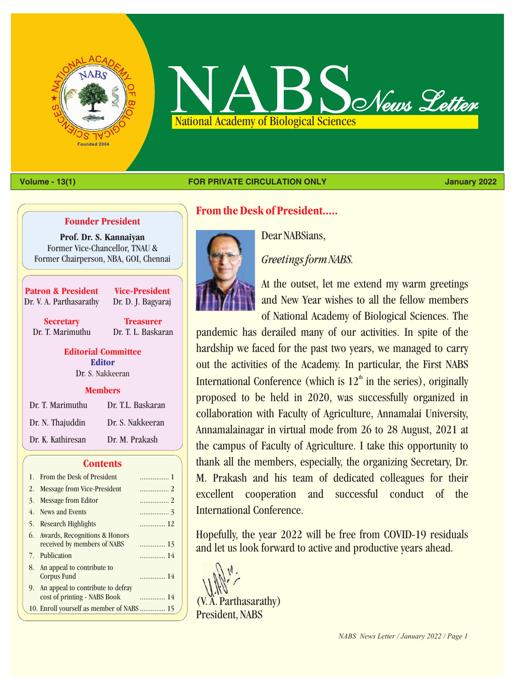



#### **Volume - 13(1) January 2022 FOR PRIVATE CIRCULATION ONLY**

#### **Founder President**

**Prof. Dr. S. Kannaiyan** Former Vice-Chancellor, TNAU & Former Chairperson, NBA, GOI, Chennai

**Patron & President** Dr. V. A. Parthasarathy

**Vice-President** Dr. D. J. Bagyaraj

**Secretary** Dr. T. Marimuthu

**Treasurer** Dr. T. L. Baskaran

**Editorial Committee** Dr. S. Nakkeeran **Editor**

#### **Members**

| Dr. T. Marimuthu  | Dr. T.L. Baskaran |
|-------------------|-------------------|
| Dr. N. Thajuddin  | Dr. S. Nakkeeran  |
| Dr. K. Kathiresan | Dr. M. Prakash    |

#### **Contents**

| 1. From the Desk of President                                        | 1   |
|----------------------------------------------------------------------|-----|
| 2. Message from Vice-President                                       | . 2 |
| 3. Message from Editor                                               |     |
| 4. News and Events                                                   |     |
| 5. Research Highlights                                               | 12  |
| 6. Awards, Recognitions & Honors<br>received by members of NABS      |     |
| 7. Publication                                                       | 14  |
| 8. An appeal to contribute to<br>Corpus Fund                         | 14  |
| 9. An appeal to contribute to defray<br>cost of printing - NABS Book | 14  |
|                                                                      |     |

# **From the Desk of President.....**



Dear NABSians,

*Greetings form NABS.*

At the outset, let me extend my warm greetings and New Year wishes to all the fellow members of National Academy of Biological Sciences. The

pandemic has derailed many of our activities. In spite of the hardship we faced for the past two years, we managed to carry out the activities of the Academy. In particular, the First NABS International Conference (which is  $12<sup>th</sup>$  in the series), originally proposed to be held in 2020, was successfully organized in collaboration with Faculty of Agriculture, Annamalai University, Annamalainagar in virtual mode from 26 to 28 August, 2021 at the campus of Faculty of Agriculture. I take this opportunity to thank all the members, especially, the organizing Secretary, Dr. M. Prakash and his team of dedicated colleagues for their excellent cooperation and successful conduct of the International Conference.

Hopefully, the year 2022 will be free from COVID-19 residuals and let us look forward to active and productive years ahead.

(V. A. Parthasarathy) President, NABS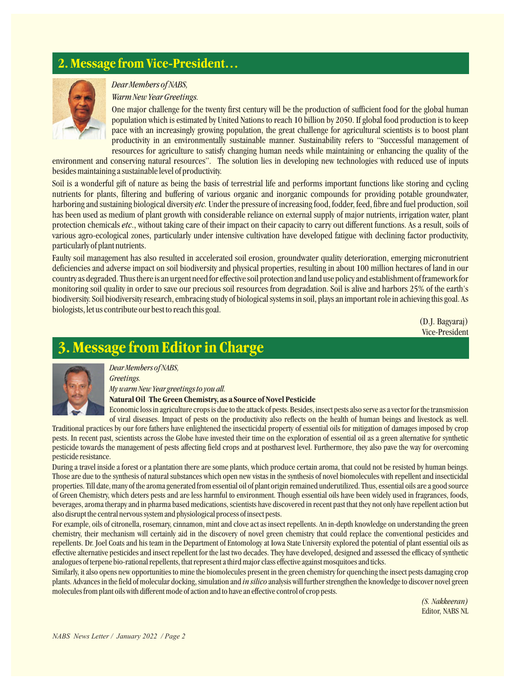# **2. Message from Vice-President…**



### *Dear Members of NABS,*

#### *Warm New Year Greetings.*

One major challenge for the twenty first century will be the production of sufficient food for the global human population which is estimated by United Nations to reach 10 billion by 2050. If global food production is to keep pace with an increasingly growing population, the great challenge for agricultural scientists is to boost plant productivity in an environmentally sustainable manner. Sustainability refers to "Successful management of resources for agriculture to satisfy changing human needs while maintaining or enhancing the quality of the

environment and conserving natural resources". The solution lies in developing new technologies with reduced use of inputs besides maintaining a sustainable level of productivity.

Soil is a wonderful gift of nature as being the basis of terrestrial life and performs important functions like storing and cycling nutrients for plants, filtering and buffering of various organic and inorganic compounds for providing potable groundwater, harboring and sustaining biological diversity *etc.* Under the pressure of increasing food, fodder, feed, fibre and fuel production, soil has been used as medium of plant growth with considerable reliance on external supply of major nutrients, irrigation water, plant protection chemicals *etc*., without taking care of their impact on their capacity to carry out different functions. As a result, soils of various agro-ecological zones, particularly under intensive cultivation have developed fatigue with declining factor productivity, particularly of plant nutrients.

Faulty soil management has also resulted in accelerated soil erosion, groundwater quality deterioration, emerging micronutrient deficiencies and adverse impact on soil biodiversity and physical properties, resulting in about 100 million hectares of land in our country as degraded. Thus there is an urgent need for effective soil protection and land use policy and establishment of framework for monitoring soil quality in order to save our precious soil resources from degradation. Soil is alive and harbors 25% of the earth's biodiversity. Soil biodiversity research, embracing study of biological systems in soil, plays an important role in achieving this goal. As biologists, let us contribute our best to reach this goal.

> (D.J. Bagyaraj) Vice-President

# **Message from Editor in Charge**



*Dear Members of NABS,*

*Greetings. My warm New Year greetings to you all.*

#### **Natural Oil The Green Chemistry, as a Source of Novel Pesticide**

Economic loss in agriculture crops is due to the attack of pests. Besides, insect pests also serve as a vector for the transmission of viral diseases. Impact of pests on the productivity also reflects on the health of human beings and livestock as well. Traditional practices by our fore fathers have enlightened the insecticidal property of essential oils for mitigation of damages imposed by crop pests. In recent past, scientists across the Globe have invested their time on the exploration of essential oil as a green alternative for synthetic pesticide towards the management of pests affecting field crops and at postharvest level. Furthermore, they also pave the way for overcoming pesticide resistance.

During a travel inside a forest or a plantation there are some plants, which produce certain aroma, that could not be resisted by human beings. Those are due to the synthesis of natural substances which open new vistas in the synthesis of novel biomolecules with repellent and insecticidal properties. Till date, many of the aroma generated from essential oil of plant origin remained underutilized. Thus, essential oils are a good source of Green Chemistry, which deters pests and are less harmful to environment. Though essential oils have been widely used in fragrances, foods, beverages, aroma therapy and in pharma based medications, scientists have discovered in recent past that they not only have repellent action but also disrupt the central nervous system and physiological process of insect pests.

For example, oils of citronella, rosemary, cinnamon, mint and clove act as insect repellents. An in-depth knowledge on understanding the green chemistry, their mechanism will certainly aid in the discovery of novel green chemistry that could replace the conventional pesticides and repellents. Dr. Joel Coats and his team in the Department of Entomology at Iowa State University explored the potential of plant essential oils as effective alternative pesticides and insect repellent for the last two decades. They have developed, designed and assessed the efficacy of synthetic analogues of terpene bio-rational repellents, that represent a third major class effective against mosquitoes and ticks.

Similarly, it also opens new opportunities to mine the biomolecules present in the green chemistry for quenching the insect pests damaging crop plants. Advances in the field of molecular docking, simulation and *in silico* analysis will further strengthen the knowledge to discover novel green molecules from plant oils with different mode of action and to have an effective control of crop pests.

> *(S. Nakkeeran)* Editor, NABS NL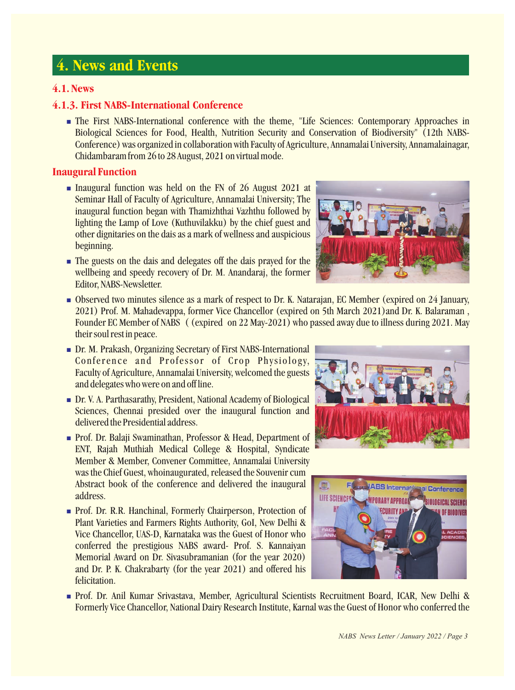# **4. News and Events**

# **4.1. News**

# **4.1.3. First NABS-International Conference**

**The First NABS-International conference with the theme, "Life Sciences: Contemporary Approaches in** Biological Sciences for Food, Health, Nutrition Security and Conservation of Biodiversity" (12th NABS-Conference) was organized in collaboration with Faculty of Agriculture, Annamalai University, Annamalainagar, Chidambaram from 26 to 28 August, 2021 on virtual mode.

# **Inaugural Function**

- **Inaugural function was held on the FN of 26 August 2021 at the IN of 26 August 2021 at the IN** Seminar Hall of Faculty of Agriculture, Annamalai University; The inaugural function began with Thamizhthai Vazhthu followed by lighting the Lamp of Love (Kuthuvilakku) by the chief guest and other dignitaries on the dais as a mark of wellness and auspicious beginning.
- The guests on the dais and delegates off the dais prayed for the **notational contract of the set of the set of the set of the set of the set of the set of the set of the set of the set of the set of the set of the set of** wellbeing and speedy recovery of Dr. M. Anandaraj, the former Editor, NABS-Newsletter.



- Observed two minutes silence as a mark of respect to Dr. K. Natarajan, EC Member (expired on 24 January, 2021) Prof. M. Mahadevappa, former Vice Chancellor (expired on 5th March 2021)and Dr. K. Balaraman , Founder EC Member of NABS ( (expired on 22 May-2021) who passed away due to illness during 2021. May their soul rest in peace.
- **n** Dr. M. Prakash, Organizing Secretary of First NABS-International **names** and the control of the control of the control of the control of the control of the control of the control of the control of the control of the co Conference and Professor of Crop Physiology, Faculty of Agriculture, Annamalai University, welcomed the guests and delegates who were on and off line.
- **Dr. V. A. Parthasarathy, President, National Academy of Biological Community of Academy Academy Academy Academy** Sciences, Chennai presided over the inaugural function and delivered the Presidential address.
- **Prof. Dr. Balaji Swaminathan, Professor & Head, Department of Contract of Account of Account of Account of Account of Account of Account of Account of Account of Account of Account of Account of Account of Account of Acco** ENT, Rajah Muthiah Medical College & Hospital, Syndicate Member & Member, Convener Committee, Annamalai University was the Chief Guest, whoinaugurated, released the Souvenir cum Abstract book of the conference and delivered the inaugural address.
- **Prof. Dr. R.R. Hanchinal, Formerly Chairperson, Protection of Manufacture Country and Treasury of BIODIVER** Plant Varieties and Farmers Rights Authority, GoI, New Delhi & Vice Chancellor, UAS-D, Karnataka was the Guest of Honor who conferred the prestigious NABS award- Prof. S. Kannaiyan Memorial Award on Dr. Sivasubramanian (for the year 2020) and Dr. P. K. Chakrabarty (for the year 2021) and offered his felicitation.





**Prof. Dr. Anil Kumar Srivastava, Member, Agricultural Scientists Recruitment Board, ICAR, New Delhi &** Formerly Vice Chancellor, National Dairy Research Institute, Karnal was the Guest of Honor who conferred the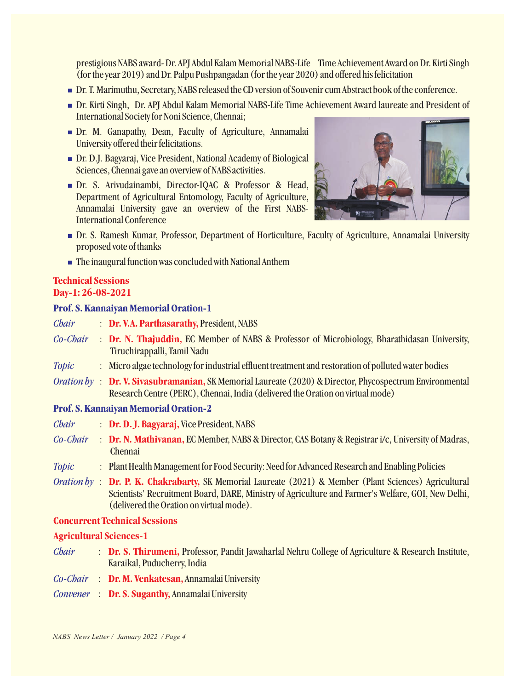prestigious NABS award- Dr. APJ Abdul Kalam Memorial NABS-Life Time Achievement Award on Dr. Kirti Singh (for the year 2019) and Dr. Palpu Pushpangadan (for the year 2020) and offered his felicitation

- Dr. T. Marimuthu, Secretary, NABS released the CD version of Souvenir cum Abstract book of the conference. n
- Dr. Kirti Singh, Dr. APJ Abdul Kalam Memorial NABS-Life Time Achievement Award laureate and President of n International Society for Noni Science, Chennai;
- **Dr. M. Ganapathy, Dean, Faculty of Agriculture, Annamalai neutral control of the state of the state of the state of the state of the state of the state of the state of the state of the state of the state of the state of** University offered their felicitations.
- **Dr. D.J. Bagyaraj, Vice President, National Academy of Biological notational academy of Biological** Sciences, Chennai gave an overview of NABSactivities.
- Dr. S. Arivudainambi, Director-IQAC & Professor & Head, **new and a second of the second of the second of the second of the second of the second of the second of the second of the second of the second of the second of the s** Department of Agricultural Entomology, Faculty of Agriculture, Annamalai University gave an overview of the First NABS-International Conference



- Dr. S. Ramesh Kumar, Professor, Department of Horticulture, Faculty of Agriculture, Annamalai University n proposed vote of thanks
- $\blacksquare$  The inaugural function was concluded with National Anthem  $\blacksquare$

#### **Technical Sessions Day-1: 26-08-2021**

# **Prof. S. Kannaiyan Memorial Oration-1**

- **: Dr. V.A. Parthasarathy, President, NABS** *Chair*
- **: Dr. N. Thajuddin, EC Member of NABS & Professor of Microbiology, Bharathidasan University,** Tiruchirappalli, Tamil Nadu *Co-Chair*
- : Micro algae technology for industrial effluent treatment and restoration of polluted water bodies *Topic*
- Oration by : Dr. V. Sivasubramanian, SK Memorial Laureate (2020) & Director, Phycospectrum Environmental Research Centre (PERC), Chennai, India (delivered the Oration on virtual mode)

# **Prof. S. Kannaiyan Memorial Oration-2**

- **: Dr. D. J. Bagyaraj, Vice President, NABS** *Chair*
- **: Dr. N. Mathivanan, EC Member, NABS & Director, CAS Botany & Registrar i/c, University of Madras,** Chennai *Co-Chair*
- : Plant Health Management for Food Security: Need for Advanced Research and Enabling Policies *Topic*
- Oration by: **Dr. P. K. Chakrabarty**, SK Memorial Laureate (2021) & Member (Plant Sciences) Agricultural Scientists' Recruitment Board, DARE, Ministry of Agriculture and Farmer's Welfare, GOI, New Delhi, (delivered the Oration on virtual mode).

### **Concurrent Technical Sessions**

### **Agricultural Sciences-1**

- **: Dr. S. Thirumeni**, Professor, Pandit Jawaharlal Nehru College of Agriculture & Research Institute, Karaikal, Puducherry, India *Chair*
- Co-Chair : **Dr. M. Venkatesan,** Annamalai University
- Convener : Dr. S. Suganthy, Annamalai University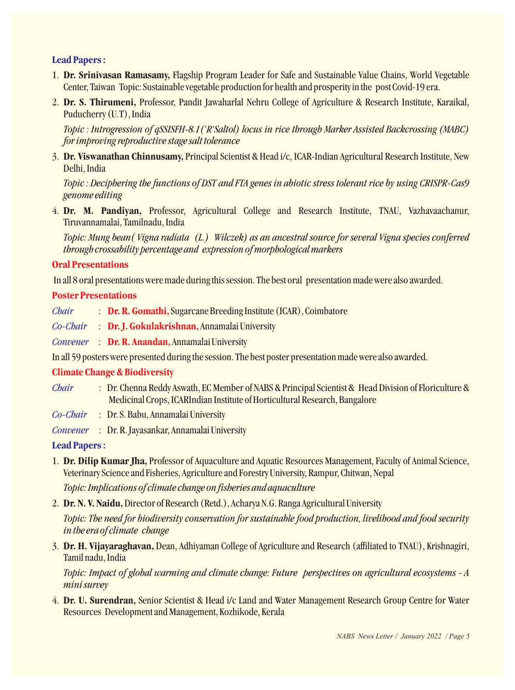# **Lead Papers :**

- 1. **Dr. Srinivasan Ramasamy,** Flagship Program Leader for Safe and Sustainable Value Chains, World Vegetable Center, Taiwan Topic: Sustainable vegetable production for health and prosperity in the post Covid-19 era.
- 2. **Dr. S. Thirumeni,** Professor, Pandit Jawaharlal Nehru College of Agriculture & Research Institute, Karaikal, Puducherry (U.T), India

*Topic : Introgression of qSSISFH-8.1('R'Saltol) locus in rice through Marker Assisted Backcrossing (MABC) for improving reproductive stage salt tolerance*

3. **Dr. Viswanathan Chinnusamy,** Principal Scientist & Head i/c, ICAR-Indian Agricultural Research Institute, New Delhi, India

*Topic : Deciphering the functions of DST and FTA genes in abiotic stress tolerant rice by using CRISPR-Cas9 genome editing*

4. **Dr. M. Pandiyan,** Professor, Agricultural College and Research Institute, TNAU, Vazhavaachanur, Tiruvannamalai, Tamilnadu, India

*Topic: Mung bean( Vigna radiata (L.) Wilczek) as an ancestral source for several Vigna species conferred through crossability percentage and expression of morphological markers*

## **Oral Presentations**

In all 8 oral presentations were made during this session. The best oral presentation made were also awarded.

### **Poster Presentations**

- *Chair* **: Dr. R. Gomathi, Sugarcane Breeding Institute (ICAR), Coimbatore**
- Co-Chair : Dr. J. Gokulakrishnan, Annamalai University
- Convener : Dr. R. Anandan, Annamalai University

In all 59 posters were presented during the session. The best poster presentation made were also awarded.

### **Climate Change & Biodiversity**

- *Chair* : Dr. Chenna Reddy Aswath, EC Member of NABS & Principal Scientist & Head Division of Floriculture & Medicinal Crops, ICARIndian Institute of Horticultural Research, Bangalore
- *Co-Chair* : Dr. S. Babu, Annamalai University
- *Convener* : Dr. R. Jayasankar, Annamalai University

# **Lead Papers :**

1. **Dr. Dilip Kumar Jha,** Professor of Aquaculture and Aquatic Resources Management, Faculty of Animal Science, Veterinary Science and Fisheries, Agriculture and Forestry University, Rampur, Chitwan, Nepal

*Topic: Implications of climate change on fisheries and aquaculture*

2. **Dr. N. V. Naidu,**Director of Research (Retd.), Acharya N.G. Ranga Agricultural University

*Topic: The need for biodiversity conservation for sustainable food production, livelihood and food security in the era of climate change*

3. **Dr. H. Vijayaraghavan,** Dean, Adhiyaman College of Agriculture and Research (affiliated to TNAU), Krishnagiri, Tamil nadu, India

*Topic: Impact of global warming and climate change: Future perspectives on agricultural ecosystems - A mini survey*

4. **Dr. U. Surendran,** Senior Scientist & Head i/c Land and Water Management Research Group Centre for Water Resources Development and Management, Kozhikode, Kerala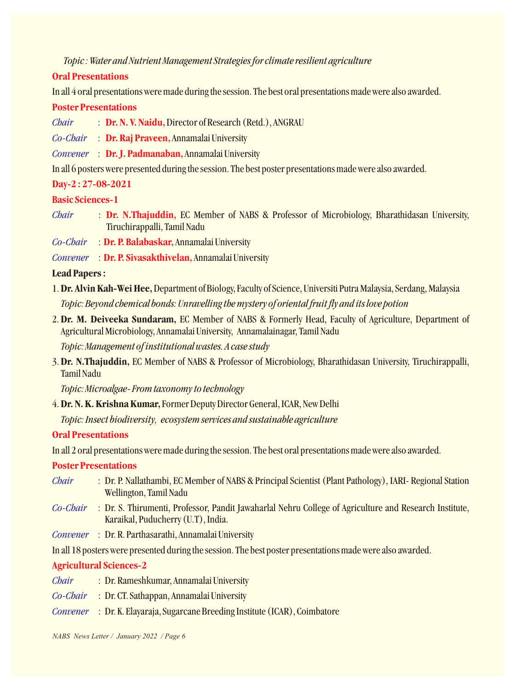# *Topic : Water and Nutrient Management Strategies for climate resilient agriculture*

## **Oral Presentations**

In all 4 oral presentations were made during the session. The best oral presentations made were also awarded.

## **Poster Presentations**

- **: Dr. N. V. Naidu,** Director of Research (Retd.), ANGRAU *Chair*
- Co-Chair : Dr. Raj Praveen, Annamalai University
- Convener : Dr.J. Padmanaban, Annamalai University

In all 6 posters were presented during the session. The best poster presentations made were also awarded.

# **Day-2 : 27-08-2021**

# **Basic Sciences-1**

- : Dr. N.Thajuddin, EC Member of NABS & Professor of Microbiology, Bharathidasan University, Tiruchirappalli, Tamil Nadu *Chair*
- Co-Chair : Dr. P. Balabaskar, Annamalai University
- : Annamalai University **Dr. P. Sivasakthivelan,** *Convener*

# **Lead Papers :**

- 1.**Dr. Alvin Kah-Wei Hee,**Department of Biology, Faculty of Science, Universiti Putra Malaysia, Serdang, Malaysia *Topic: Beyond chemical bonds: Unravelling the mystery of oriental fruit fly and its love potion*
- 2.**Dr. M. Deiveeka Sundaram,** EC Member of NABS & Formerly Head, Faculty of Agriculture, Department of Agricultural Microbiology, Annamalai University, Annamalainagar, Tamil Nadu

*Topic: Management of institutional wastes. A case study*

3.**Dr. N.Thajuddin,** EC Member of NABS & Professor of Microbiology, Bharathidasan University, Tiruchirappalli, Tamil Nadu

*Topic: Microalgae- From taxonomy to technology*

4.**Dr. N. K. Krishna Kumar,**Former Deputy Director General, ICAR, New Delhi

*Topic: Insect biodiversity, ecosystem services and sustainable agriculture*

# **Oral Presentations**

In all 2 oral presentations were made during the session. The best oral presentations made were also awarded.

# **Poster Presentations**

- : Dr. P. Nallathambi, EC Member of NABS & Principal Scientist (Plant Pathology), IARI- Regional Station Wellington, Tamil Nadu *Chair*
- : Dr. S. Thirumenti, Professor, Pandit Jawaharlal Nehru College of Agriculture and Research Institute, *Co-Chair* Karaikal, Puducherry (U.T), India.
- : Dr. R. Parthasarathi, Annamalai University *Convener*

In all 18 posters were presented during the session. The best poster presentations made were also awarded.

# **Agricultural Sciences-2**

- : Dr. Rameshkumar, Annamalai University *Chair*
- : Dr. CT. Sathappan, Annamalai University *Co-Chair*
- : Dr. K. Elayaraja, Sugarcane Breeding Institute (ICAR), Coimbatore *Convener*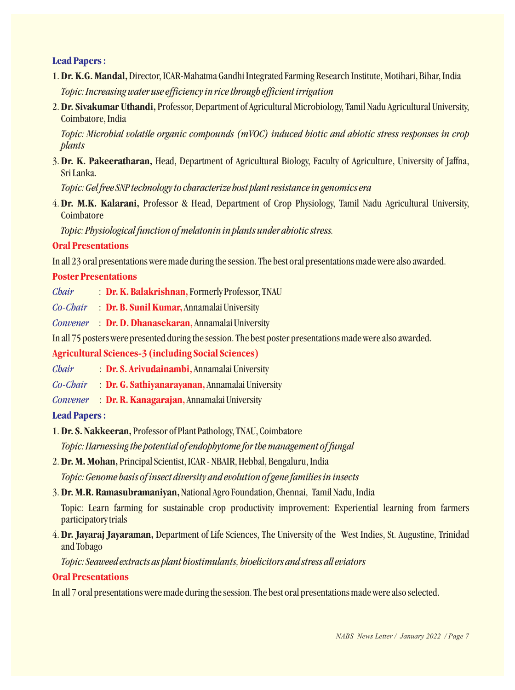# **Lead Papers :**

- 1.**Dr. K.G. Mandal,**Director, ICAR-Mahatma Gandhi Integrated Farming Research Institute, Motihari, Bihar, India *Topic: Increasing water use efficiency in rice through efficient irrigation*
- 2.**Dr. Sivakumar Uthandi,** Professor, Department of Agricultural Microbiology, Tamil Nadu Agricultural University, Coimbatore, India

*Topic: Microbial volatile organic compounds (mVOC) induced biotic and abiotic stress responses in crop plants*

3.**Dr. K. Pakeeratharan,** Head, Department of Agricultural Biology, Faculty of Agriculture, University of Jaffna, Sri Lanka.

*Topic: Gel free SNP technology to characterize host plant resistance in genomics era*

4.**Dr. M.K. Kalarani,** Professor & Head, Department of Crop Physiology, Tamil Nadu Agricultural University, **Coimbatore** 

*Topic: Physiological function of melatonin in plants under abiotic stress.*

## **Oral Presentations**

In all 23 oral presentations were made during the session. The best oral presentations made were also awarded.

### **Poster Presentations**

- *Chair* **: Dr. K. Balakrishnan, Formerly Professor, TNAU**
- *Co-Chair* **: Dr. B. Sunil Kumar, Annamalai University**

Convener : Dr. D. Dhanasekaran, Annamalai University

In all 75 posters were presented during the session. The best poster presentations made were also awarded.

### **Agricultural Sciences-3 (including Social Sciences)**

- *Chair* **: Dr. S. Arivudainambi, Annamalai University**
- *Co-Chair* **: Dr. G. Sathiyanarayanan, Annamalai University**
- Convener : Dr. R. Kanagarajan, Annamalai University

### **Lead Papers :**

1. **Dr. S. Nakkeeran,** Professor of Plant Pathology, TNAU, Coimbatore

*Topic: Harnessing the potential of endophytome for the management of fungal*

- 2. **Dr. M. Mohan,** Principal Scientist, ICAR NBAIR, Hebbal, Bengaluru, India *Topic: Genome basis of insect diversity and evolution of gene families in insects*
- 3. **Dr. M.R. Ramasubramaniyan,** National Agro Foundation, Chennai, Tamil Nadu, India

Topic: Learn farming for sustainable crop productivity improvement: Experiential learning from farmers participatory trials

4. **Dr. Jayaraj Jayaraman,** Department of Life Sciences, The University of the West Indies, St. Augustine, Trinidad and Tobago

*Topic: Seaweed extracts as plant biostimulants, bioelicitors and stress all eviators*

### **Oral Presentations**

In all 7 oral presentations were made during the session. The best oral presentations made were also selected.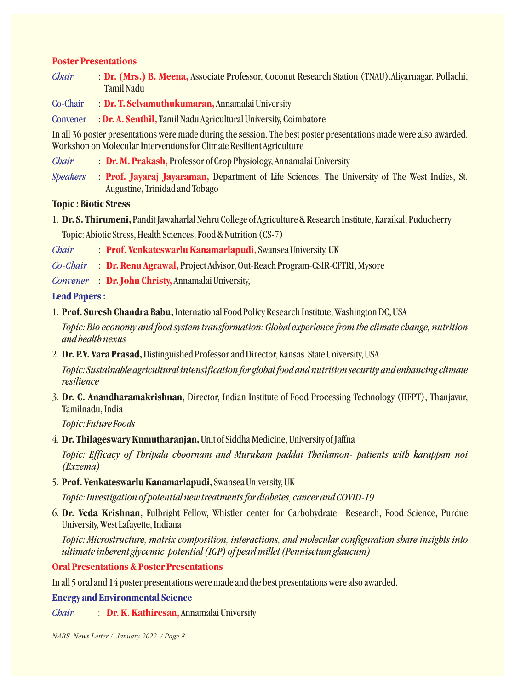# **Poster Presentations**

- : Dr. (Mrs.) B. Meena, Associate Professor, Coconut Research Station (TNAU), Aliyarnagar, Pollachi, *Chair* Tamil Nadu
- : **Dr. T. Selvamuthukumaran**, Annamalai University Co-Chair
- : Dr. A. Senthil, Tamil Nadu Agricultural University, Coimbatore **Convener**

In all 36 poster presentations were made during the session. The best poster presentations made were also awarded. Workshop on Molecular Interventions for Climate Resilient Agriculture

: Dr. M. Prakash, Professor of Crop Physiology, Annamalai University *Chair*

**Prof. Jayaraj Jayaraman,** : Department of Life Sciences, The University of The West Indies, St. *Speakers* Augustine, Trinidad and Tobago

### **Topic : Biotic Stress**

1. **Dr. S. Thirumeni,** Pandit Jawaharlal Nehru College of Agriculture & Research Institute, Karaikal, Puducherry

Topic: Abiotic Stress, Health Sciences, Food & Nutrition (CS-7)

- : Prof. Venkateswarlu Kanamarlapudi, Swansea University, UK *Chair*
- Co-Chair : Dr. Renu Agrawal, Project Advisor, Out-Reach Program-CSIR-CFTRI, Mysore
- Convener : Dr. John Christy, Annamalai University,

### **Lead Papers :**

1. **Prof. Suresh Chandra Babu,**International Food Policy Research Institute, Washington DC, USA

*Topic: Bio economy and food system transformation: Global experience from the climate change, nutrition and health nexus*

2. **Dr. P.V. Vara Prasad,**Distinguished Professor and Director, Kansas State University, USA

*Topic: Sustainable agricultural intensification for global food and nutrition security and enhancing climate resilience*

3. **Dr. C. Anandharamakrishnan,** Director, Indian Institute of Food Processing Technology (IIFPT), Thanjavur, Tamilnadu, India

*Topic: Future Foods*

4. **Dr. Thilageswary Kumutharanjan,** Unit of Siddha Medicine, University of Jaffna

*Topic: Efficacy of Thripala choornam and Murukam paddai Thailamon- patients with karappan noi (Exzema)*

5. **Prof. Venkateswarlu Kanamarlapudi,**Swansea University, UK

*Topic: Investigation of potential new treatments for diabetes, cancer and COVID-19*

6. **Dr. Veda Krishnan,** Fulbright Fellow, Whistler center for Carbohydrate Research, Food Science, Purdue University, West Lafayette, Indiana

*Topic: Microstructure, matrix composition, interactions, and molecular configuration share insights into ultimate inherent glycemic potential (IGP) of pearl millet (Pennisetum glaucum)*

### **Oral Presentations & Poster Presentations**

In all 5 oral and 14 poster presentations were made and the best presentations were also awarded.

**Energy and Environmental Science**

: Dr. K. Kathiresan, Annamalai University *Chair*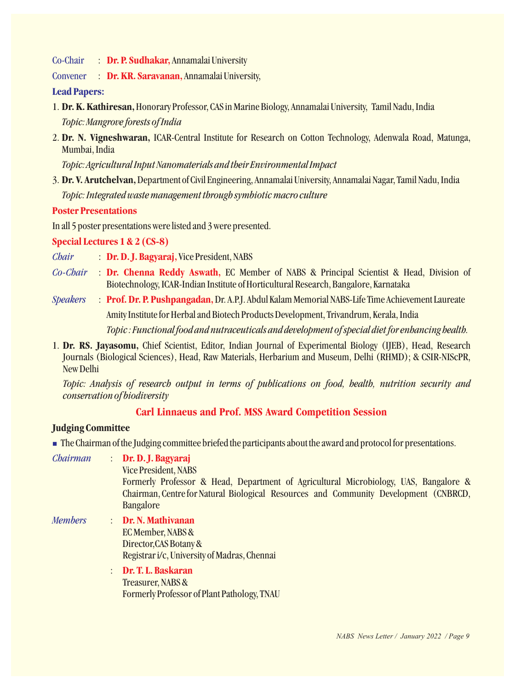Co-Chair **: Dr. P. Sudhakar,** Annamalai University

Convener **: Dr. KR. Saravanan, Annamalai University,** 

### **Lead Papers:**

- 1. **Dr. K. Kathiresan,**Honorary Professor, CAS in Marine Biology, Annamalai University, Tamil Nadu, India *Topic: Mangrove forests of India*
- 2. **Dr. N. Vigneshwaran,** ICAR-Central Institute for Research on Cotton Technology, Adenwala Road, Matunga, Mumbai, India

*Topic: Agricultural Input Nanomaterials and their Environmental Impact*

3. **Dr. V. Arutchelvan,**Department of Civil Engineering, Annamalai University, Annamalai Nagar, Tamil Nadu, India *Topic: Integrated waste management through symbiotic macro culture*

## **Poster Presentations**

In all 5 poster presentations were listed and 3 were presented.

**Special Lectures 1 & 2 (CS-8)**

- *Chair* **: Dr. D. J. Bagyaraj, Vice President, NABS**
- *Co-Chair* **: Dr. Chenna Reddy Aswath, EC Member of NABS & Principal Scientist & Head, Division of** Biotechnology, ICAR-Indian Institute of Horticultural Research, Bangalore, Karnataka
- *Speakers* : **Prof. Dr. P. Pushpangadan**, Dr. A.P.J. Abdul Kalam Memorial NABS-Life Time Achievement Laureate Amity Institute for Herbal and Biotech Products Development, Trivandrum, Kerala, India *Topic : Functional food and nutraceuticals and development of special diet for enhancing health.*
- 1. **Dr. RS. Jayasomu,** Chief Scientist, Editor, Indian Journal of Experimental Biology (IJEB), Head, Research Journals (Biological Sciences), Head, Raw Materials, Herbarium and Museum, Delhi (RHMD); & CSIR-NIScPR, New Delhi

*Topic: Analysis of research output in terms of publications on food, health, nutrition security and conservation of biodiversity*

# **Carl Linnaeus and Prof. MSS Award Competition Session**

### **Judging Committee**

n The Chairman of the Judging committee briefed the participants about the award and protocol for presentations.

*Chairman* : **Dr. D. J. Bagyaraj**

> Vice President, NABS Formerly Professor & Head, Department of Agricultural Microbiology, UAS, Bangalore & Chairman, Centre for Natural Biological Resources and Community Development (CNBRCD, Bangalore

*Members* : **Dr. N. Mathivanan** EC Member, NABS & Director,CAS Botany & Registrar i/c, University of Madras, Chennai

> : Treasurer, NABS & Formerly Professor of Plant Pathology, TNAU **Dr. T. L. Baskaran**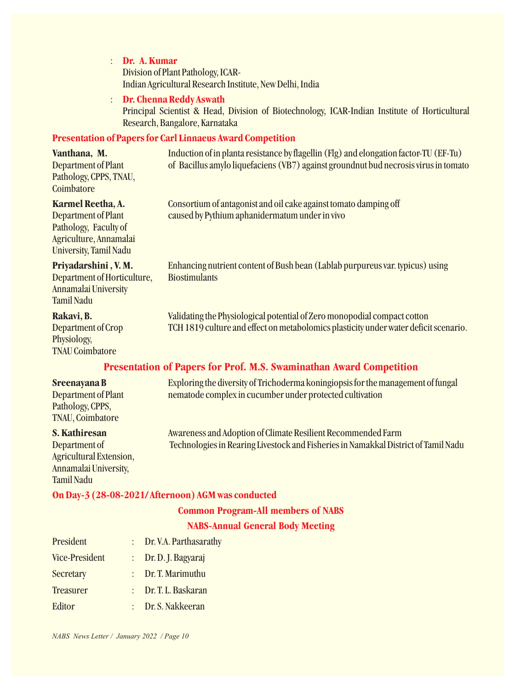: **Dr. A. Kumar**

Division of Plant Pathology, ICAR-Indian Agricultural Research Institute, New Delhi, India

# : **Dr. Chenna Reddy Aswath**

Principal Scientist & Head, Division of Biotechnology, ICAR-Indian Institute of Horticultural Research, Bangalore, Karnataka

## **Presentation of Papers for Carl Linnaeus Award Competition**

## **Vanthana, M.** Induction of in planta resistance by flagellin (Flg) and elongation factor-TU (EF-Tu) Department of Plant of Bacillus amylo liquefaciens (VB7) against groundnut bud necrosis virus in tomato Pathology, CPPS, TNAU, Coimbatore

## **Karmel Reetha, A.** Consortium of antagonist and oil cake against tomato damping off

Department of Plant caused by Pythium aphanidermatum under in vivo Pathology, Faculty of Agriculture, Annamalai University, Tamil Nadu

Department of Horticulture, Biostimulants Annamalai University Tamil Nadu

Physiology, TNAU Coimbatore

**Priyadarshini , V. M.** Enhancing nutrient content of Bush bean (Lablab purpureus var. typicus) using

**Rakavi, B.** Validating the Physiological potential of Zero monopodial compact cotton Department of Crop TCH 1819 culture and effect on metabolomics plasticity under water deficit scenario.

# **Presentation of Papers for Prof. M.S. Swaminathan Award Competition**

Pathology, CPPS, TNAU, Coimbatore

Agricultural Extension, Annamalai University, Tamil Nadu

**Sreenayana B** Exploring the diversity of Trichoderma koningiopsis for the management of fungal Department of Plant nematode complex in cucumber under protected cultivation

**S. Kathiresan** Awareness and Adoption of Climate Resilient Recommended Farm Department of Technologies in Rearing Livestock and Fisheries in Namakkal District of Tamil Nadu

### **On Day-3 (28-08-2021/ Afternoon) AGM was conducted**

### **Common Program-All members of NABS**

### **NABS-Annual General Body Meeting**

| President             | : Dr. V.A. Parthasarathy |
|-----------------------|--------------------------|
| <b>Vice-President</b> | Dr. D. J. Bagyaraj       |
| Secretary             | Dr. T. Marimuthu         |
| <b>Treasurer</b>      | Dr. T. L. Baskaran       |
| Editor                | : Dr. S. Nakkeeran       |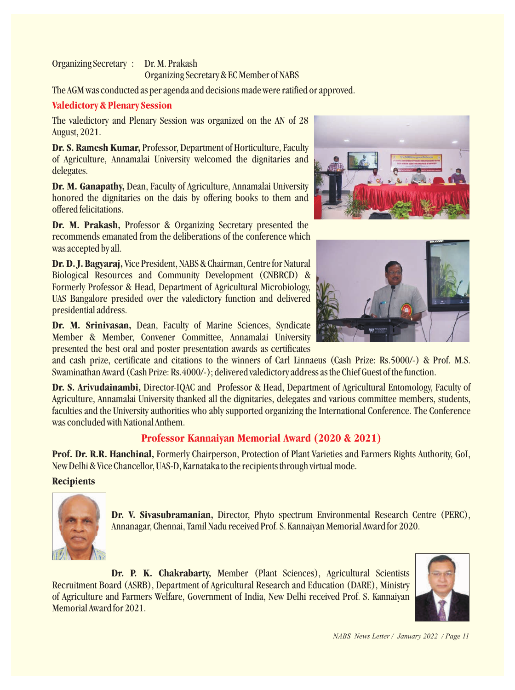#### Organizing Secretary : Dr. M. Prakash Organizing Secretary & EC Member of NABS

The AGM was conducted as per agenda and decisions made were ratified or approved.

# **Valedictory & Plenary Session**

The valedictory and Plenary Session was organized on the AN of 28 August, 2021.

**Dr. S. Ramesh Kumar,** Professor, Department of Horticulture, Faculty of Agriculture, Annamalai University welcomed the dignitaries and delegates.

**Dr. M. Ganapathy,** Dean, Faculty of Agriculture, Annamalai University honored the dignitaries on the dais by offering books to them and offered felicitations.

**Dr. M. Prakash,** Professor & Organizing Secretary presented the recommends emanated from the deliberations of the conference which was accepted by all.

**Dr. D. J. Bagyaraj,** Vice President, NABS & Chairman, Centre for Natural Biological Resources and Community Development (CNBRCD) & Formerly Professor & Head, Department of Agricultural Microbiology, UAS Bangalore presided over the valedictory function and delivered presidential address.

**Dr. M. Srinivasan,** Dean, Faculty of Marine Sciences, Syndicate Member & Member, Convener Committee, Annamalai University presented the best oral and poster presentation awards as certificates

and cash prize, certificate and citations to the winners of Carl Linnaeus (Cash Prize: Rs.5000/-) & Prof. M.S. Swaminathan Award (Cash Prize: Rs.4000/-); delivered valedictory address as the Chief Guest of the function.

**Dr. S. Arivudainambi,** Director-IQAC and Professor & Head, Department of Agricultural Entomology, Faculty of Agriculture, Annamalai University thanked all the dignitaries, delegates and various committee members, students, faculties and the University authorities who ably supported organizing the International Conference. The Conference was concluded with National Anthem.

# **Professor Kannaiyan Memorial Award (2020 & 2021)**

**Prof. Dr. R.R. Hanchinal,** Formerly Chairperson, Protection of Plant Varieties and Farmers Rights Authority, GoI, New Delhi & Vice Chancellor, UAS-D, Karnataka to the recipients through virtual mode.

# **Recipients**



**Dr. V. Sivasubramanian,** Director, Phyto spectrum Environmental Research Centre (PERC), Annanagar, Chennai, Tamil Nadu received Prof. S. Kannaiyan Memorial Award for 2020.

**Dr. P. K. Chakrabarty,** Member (Plant Sciences), Agricultural Scientists Recruitment Board (ASRB), Department of Agricultural Research and Education (DARE), Ministry of Agriculture and Farmers Welfare, Government of India, New Delhi received Prof. S. Kannaiyan Memorial Award for 2021.





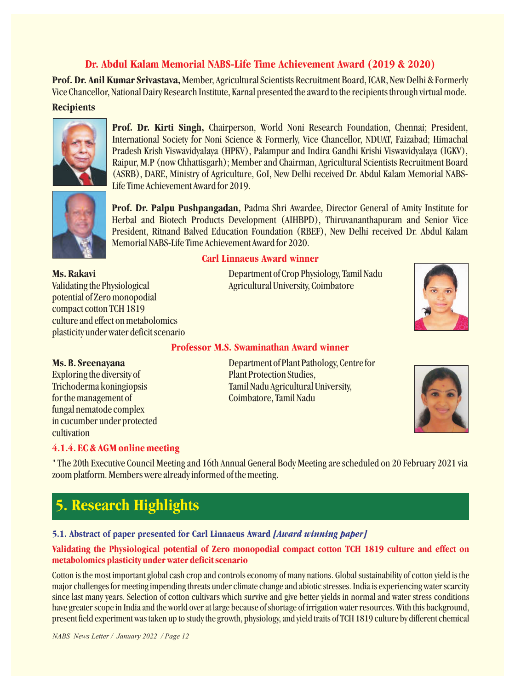# **Dr. Abdul Kalam Memorial NABS-Life Time Achievement Award (2019 & 2020)**

**Prof. Dr. Anil Kumar Srivastava, Member, Agricultural Scientists Recruitment Board, ICAR, New Delhi & Formerly** Vice Chancellor, National Dairy Research Institute, Karnal presented the award to the recipients through virtual mode.

# **Recipients**



**Prof. Dr. Kirti Singh,** Chairperson, World Noni Research Foundation, Chennai; President, International Society for Noni Science & Formerly, Vice Chancellor, NDUAT, Faizabad; Himachal Pradesh Krish Viswavidyalaya (HPKV), Palampur and Indira Gandhi Krishi Viswavidyalaya (IGKV), Raipur, M.P (now Chhattisgarh); Member and Chairman, Agricultural Scientists Recruitment Board (ASRB), DARE, Ministry of Agriculture, GoI, New Delhi received Dr. Abdul Kalam Memorial NABS-Life Time Achievement Award for 2019.



**Prof. Dr. Palpu Pushpangadan,** Padma Shri Awardee, Director General of Amity Institute for Herbal and Biotech Products Development (AIHBPD), Thiruvananthapuram and Senior Vice President, Ritnand Balved Education Foundation (RBEF), New Delhi received Dr. Abdul Kalam Memorial NABS-Life Time Achievement Award for 2020.

Validating the Physiological Agricultural University, Coimbatore potential of Zero monopodial compact cotton TCH 1819 culture and effect on metabolomics plasticity under water deficit scenario

#### **Carl Linnaeus Award winner**

**Ms. Rakavi** Department of Crop Physiology, Tamil Nadu



### **Professor M.S. Swaminathan Award winner**

Exploring the diversity of Plant Protection Studies, for the management of Coimbatore, Tamil Nadu fungal nematode complex in cucumber under protected cultivation

**Ms. B. Sreenayana** Department of Plant Pathology, Centre for Trichoderma koningiopsis Tamil Nadu Agricultural University,



# **4.1.4. EC & AGM online meeting**

" The 20th Executive Council Meeting and 16th Annual General Body Meeting are scheduled on 20 February 2021 via zoom platform. Members were already informed of the meeting.

# **5. Research Highlights**

# **5.1. Abstract of paper presented for Carl Linnaeus Award** *[Award winning paper]*

### **Validating the Physiological potential of Zero monopodial compact cotton TCH 1819 culture and effect on metabolomics plasticity under water deficit scenario**

Cotton is the most important global cash crop and controls economy of many nations. Global sustainability of cotton yield is the major challenges for meeting impending threats under climate change and abiotic stresses. India is experiencing water scarcity since last many years. Selection of cotton cultivars which survive and give better yields in normal and water stress conditions have greater scope in India and the world over at large because of shortage of irrigation water resources. With this background, present field experiment was taken up to study the growth, physiology, and yield traits of TCH 1819 culture by different chemical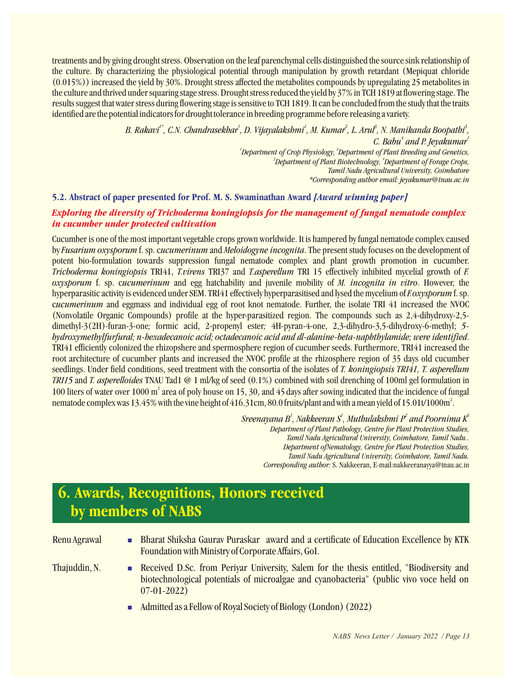treatments and by giving drought stress. Observation on the leaf parenchymal cells distinguished the source sink relationship of the culture. By characterizing the physiological potential through manipulation by growth retardant (Mepiquat chloride (0.015%)) increased the yield by 30%. Drought stress affected the metabolites compounds by upregulating 25 metabolites in the culture and thrived under squaring stage stress. Drought stress reduced the yield by 37% in TCH 1819 at flowering stage. The results suggest that water stress during flowering stage is sensitive to TCH 1819. It can be concluded from the study that the traits identified are the potential indicators for drought tolerance in breeding programme before releasing a variety.

> *1\* 1 1 2 3 3 B. Rakavi , C.N. Chandrasekhar , D. Vijayalakshmi , M. Kumar , L. Arul , N. Manikanda Boopathi , <i>C.* Babu<sup>4</sup> and P. Jeyakumar<sup>1</sup> *1 2 Department of Crop Physiology, Department of Plant Breeding and Genetics, 3 4 Department of Plant Biotechnology, Department of Forage Crops, Tamil Nadu Agricultural University, Coimbatore \*Corresponding author email: jeyakumar@tnau.ac.in*

### **5.2. Abstract of paper presented for Prof. M. S. Swaminathan Award** *[Award winning paper]*

#### *Exploring the diversity of Trichoderma koningiopsis for the management of fungal nematode complex in cucumber under protected cultivation*

Cucumber is one of the most important vegetable crops grown worldwide. It is hampered by fungal nematode complex caused by *Fusarium oxysporum* f. sp. c*ucumerinum* and *Meloidogyneincognita*. The present study focuses on the development of potent bio-formulation towards suppression fungal nematode complex and plant growth promotion in cucumber. *Trichoderma koningiopsis* TRI41, *T.virens* TRI37 and *T.asperellum* TRI 15 effectively inhibited mycelial growth of *F. oxysporum* f. sp. c*ucumerinum* and egg hatchability and juvenile mobility of *M. incognita in vitro*. However, the hyperparasitic activity is evidenced under SEM. TRI41 effectively hyperparasitised and lysed the mycelium of *F.oxysporum* f. sp. c*ucumerinum* and eggmass and individual egg of root knot nematode. Further, the isolate TRI 41 increased the NVOC (Nonvolatile Organic Compounds) profile at the hyper-parasitized region. The compounds such as 2,4-dihydroxy-2,5 dimethyl-3(2H)-furan-3-one*;* formic acid, 2-propenyl ester*;* 4H-pyran-4-one, 2,3-dihydro-3,5-dihydroxy-6-methyl; *5 hydroxymethylfurfural; n-hexadecanoic acid; octadecanoic acid and dl-alanine-beta-naphthylamide; were identified*. TRI41 efficiently colonized the rhizopshere and spermosphere region of cucumber seeds. Furthermore, TRI41 increased the root architecture of cucumber plants and increased the NVOC profile at the rhizosphere region of 35 days old cucumber seedlings. Under field conditions, seed treatment with the consortia of the isolates of *T. koningiopsis TRI41, T. asperellum TRI15* and *T. asperelloides* TNAU Tad1 @ 1 ml/kg of seed (0.1%) combined with soil drenching of 100ml gel formulation in 100 liters of water over 1000 m<sup>2</sup> area of poly house on 15, 30, and 45 days after sowing indicated that the incidence of fungal nematode complex was 13.45% with the vine height of 416.31cm, 80.0 fruits/plant and with a mean yield of 15.01t/1000m<sup>2</sup>.

> *1 1 2 3 Sreenayana B , Nakkeeran S , Muthulakshmi P and Poornima K Department of Plant Pathology, Centre for Plant Protection Studies, Tamil Nadu Agricultural University, Coimbatore, Tamil Nadu.. Department ofNematology, Centre for Plant Protection Studies, Tamil Nadu Agricultural University, Coimbatore, Tamil Nadu. Corresponding author:* S. Nakkeeran, E-mail:nakkeeranayya@tnau.ac.in

# **6. Awards, Recognitions, Honors received by members of NABS**

- Renu Agrawal Bharat Shiksha Gaurav Puraskar award and a certificate of Education Excellence by KTK Foundation with Ministry of Corporate Affairs, GoI.
- Thajuddin, N. **Received D.Sc. from Periyar University, Salem for the thesis entitled, "Biodiversity and Theory of Australian Control of the thesis entitled, "Biodiversity and** biotechnological potentials of microalgae and cyanobacteria" (public vivo voce held on 07-01-2022)
	- Admitted as a Fellow of Royal Society of Biology (London)  $(2022)$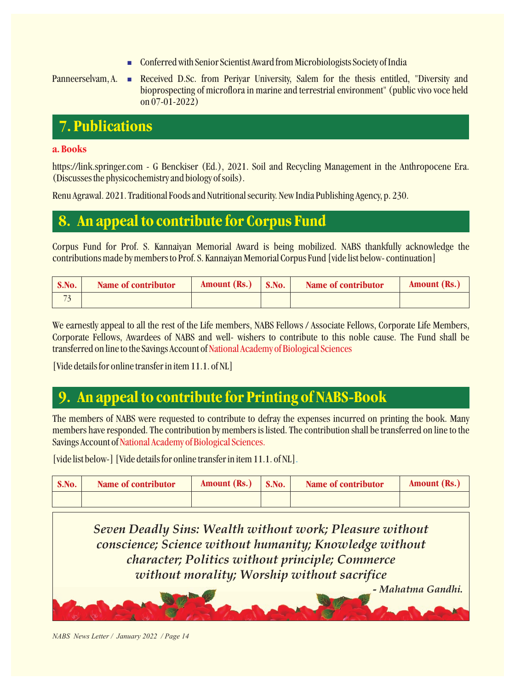n Conferred with Senior Scientist Award from Microbiologists Society of India

Panneerselvam, A. Received D.Sc. from Periyar University, Salem for the thesis entitled, "Diversity and bioprospecting of microflora in marine and terrestrial environment" (public vivo voce held on 07-01-2022)

# **7. Publications**

# **a. Books**

https://link.springer.com - G Benckiser (Ed.), 2021. Soil and Recycling Management in the Anthropocene Era. (Discusses the physicochemistry and biology of soils).

Renu Agrawal. 2021. Traditional Foods and Nutritional security. New India Publishing Agency, p. 230.

# **8. An appeal to contribute for Corpus Fund**

Corpus Fund for Prof. S. Kannaiyan Memorial Award is being mobilized. NABS thankfully acknowledge the contributions made by members to Prof. S. Kannaiyan Memorial Corpus Fund [vide list below- continuation]

| S.No.         | Name of contributor | Amount $(Rs.)$ | S.No. | Name of contributor | <b>Amount (Rs.)</b> |
|---------------|---------------------|----------------|-------|---------------------|---------------------|
| $\rightarrow$ |                     |                |       |                     |                     |

We earnestly appeal to all the rest of the Life members, NABS Fellows / Associate Fellows, Corporate Life Members, Corporate Fellows, Awardees of NABS and well- wishers to contribute to this noble cause. The Fund shall be transferred on line to the Savings Account of National Academy of Biological Sciences

[Vide details for online transfer in item 11.1. of NL]

# **9. An appeal to contribute for Printing of NABS-Book**

The members of NABS were requested to contribute to defray the expenses incurred on printing the book. Many members have responded. The contribution by members is listed. The contribution shall be transferred on line to the Savings Account of National Academy of Biological Sciences.

[vide list below-] [Vide details for online transfer in item 11.1. of NL] .

| S.No. | Name of contributor | Amount (Rs.) | S.No. | Name of contributor | Amount (Rs.) |
|-------|---------------------|--------------|-------|---------------------|--------------|
|       |                     |              |       |                     |              |

*Seven Deadly Sins: Wealth without work; Pleasure without conscience; Science without humanity; Knowledge without character; Politics without principle; Commerce without morality; Worship without sacrifice*